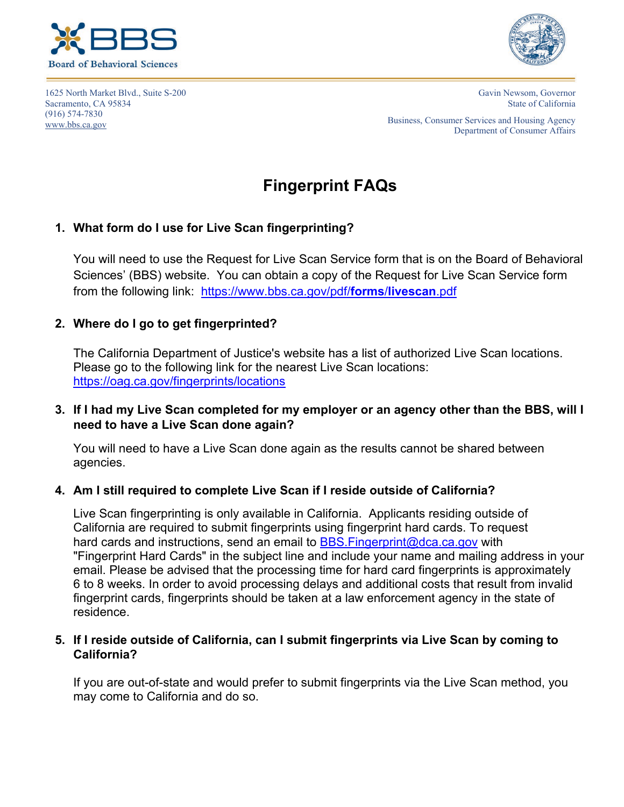



1625 North Market Blvd., Suite S-200 Sacramento, CA 95834 (916) 574-7830 [www.bbs.ca.gov](http://www.bbs.ca.gov/)

Gavin Newsom, Governor State of California

Business, Consumer Services and Housing Agency Department of Consumer Affairs

# **Fingerprint FAQs**

## **1. What form do I use for Live Scan fingerprinting?**

You will need to use the Request for Live Scan Service form that is on the Board of Behavioral Sciences' (BBS) website. You can obtain a copy of the Request for Live Scan Service form from the following link: [https://www.bbs.ca.gov/pdf/](https://www.bbs.ca.gov/pdf/forms/livescan.pdf)**forms**/**livescan**.pdf

## **2. Where do I go to get fingerprinted?**

The California Department of Justice's website has a list of authorized Live Scan locations. Please go to the following link for the nearest Live Scan locations: <https://oag.ca.gov/fingerprints/locations>

**3. If I had my Live Scan completed for my employer or an agency other than the BBS, will I need to have a Live Scan done again?** 

You will need to have a Live Scan done again as the results cannot be shared between agencies.

#### **4. Am I still required to complete Live Scan if I reside outside of California?**

Live Scan fingerprinting is only available in California. Applicants residing outside of California are required to submit fingerprints using fingerprint hard cards. To request hard cards and instructions, send an email to BBS. Fingerprint@dca.ca.gov with "Fingerprint Hard Cards" in the subject line and include your name and mailing address in your email. Please be advised that the processing time for hard card fingerprints is approximately 6 to 8 weeks. In order to avoid processing delays and additional costs that result from invalid fingerprint cards, fingerprints should be taken at a law enforcement agency in the state of residence.

#### **5. If I reside outside of California, can I submit fingerprints via Live Scan by coming to California?**

If you are out-of-state and would prefer to submit fingerprints via the Live Scan method, you may come to California and do so.